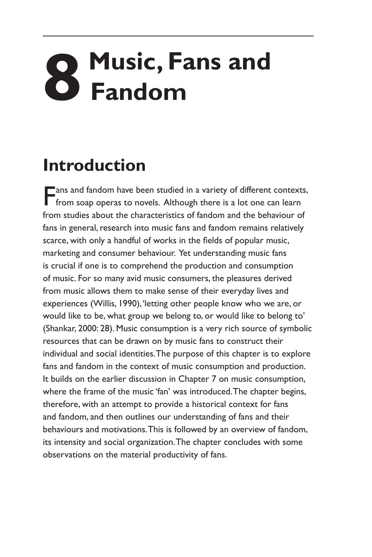## **8 Music, Fans and Fandom**

## **Introduction**

**Fans and fandom have been studied in a variety of different contexts,** from soap operas to novels. Although there is a lot one can learn from studies about the characteristics of fandom and the behaviour of fans in general, research into music fans and fandom remains relatively scarce, with only a handful of works in the fields of popular music, marketing and consumer behaviour. Yet understanding music fans is crucial if one is to comprehend the production and consumption of music. For so many avid music consumers, the pleasures derived from music allows them to make sense of their everyday lives and experiences (Willis, 1990), 'letting other people know who we are, or would like to be, what group we belong to, or would like to belong to' (Shankar, 2000: 28). Music consumption is a very rich source of symbolic resources that can be drawn on by music fans to construct their individual and social identities. The purpose of this chapter is to explore fans and fandom in the context of music consumption and production. It builds on the earlier discussion in Chapter 7 on music consumption, where the frame of the music 'fan' was introduced. The chapter begins, therefore, with an attempt to provide a historical context for fans and fandom, and then outlines our understanding of fans and their behaviours and motivations. This is followed by an overview of fandom, its intensity and social organization. The chapter concludes with some observations on the material productivity of fans.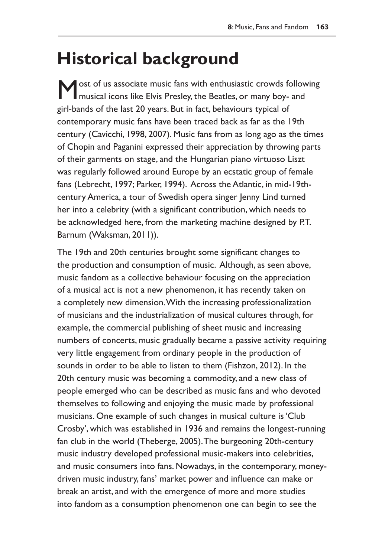## **Historical background**

Most of us associate music fans with enthusiastic crowds following musical icons like Elvis Presley, the Beatles, or many boy- and girl-bands of the last 20 years. But in fact, behaviours typical of contemporary music fans have been traced back as far as the 19th century (Cavicchi, 1998, 2007). Music fans from as long ago as the times of Chopin and Paganini expressed their appreciation by throwing parts of their garments on stage, and the Hungarian piano virtuoso Liszt was regularly followed around Europe by an ecstatic group of female fans (Lebrecht, 1997; Parker, 1994). Across the Atlantic, in mid-19thcentury America, a tour of Swedish opera singer Jenny Lind turned her into a celebrity (with a significant contribution, which needs to be acknowledged here, from the marketing machine designed by P.T. Barnum (Waksman, 2011)).

The 19th and 20th centuries brought some significant changes to the production and consumption of music. Although, as seen above, music fandom as a collective behaviour focusing on the appreciation of a musical act is not a new phenomenon, it has recently taken on a completely new dimension. With the increasing professionalization of musicians and the industrialization of musical cultures through, for example, the commercial publishing of sheet music and increasing numbers of concerts, music gradually became a passive activity requiring very little engagement from ordinary people in the production of sounds in order to be able to listen to them (Fishzon, 2012). In the 20th century music was becoming a commodity, and a new class of people emerged who can be described as music fans and who devoted themselves to following and enjoying the music made by professional musicians. One example of such changes in musical culture is 'Club Crosby', which was established in 1936 and remains the longest-running fan club in the world (Theberge, 2005). The burgeoning 20th-century music industry developed professional music-makers into celebrities, and music consumers into fans. Nowadays, in the contemporary, moneydriven music industry, fans' market power and influence can make or break an artist, and with the emergence of more and more studies into fandom as a consumption phenomenon one can begin to see the